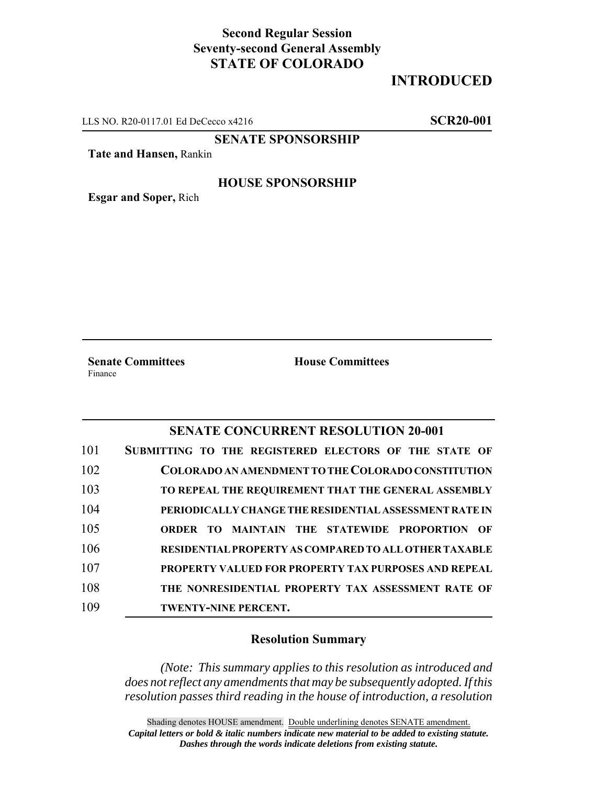## **Second Regular Session Seventy-second General Assembly STATE OF COLORADO**

# **INTRODUCED**

LLS NO. R20-0117.01 Ed DeCecco x4216 **SCR20-001**

## **SENATE SPONSORSHIP**

**Tate and Hansen,** Rankin

#### **HOUSE SPONSORSHIP**

**Esgar and Soper,** Rich

**Senate Committees House Committees** Finance

### **SENATE CONCURRENT RESOLUTION 20-001**

| 101 | SUBMITTING TO THE REGISTERED ELECTORS OF THE STATE OF        |
|-----|--------------------------------------------------------------|
| 102 | COLORADO AN AMENDMENT TO THE COLORADO CONSTITUTION           |
| 103 | TO REPEAL THE REQUIREMENT THAT THE GENERAL ASSEMBLY          |
| 104 | PERIODICALLY CHANGE THE RESIDENTIAL ASSESSMENT RATE IN       |
| 105 | <b>ORDER TO MAINTAIN THE STATEWIDE PROPORTION OF</b>         |
| 106 | <b>RESIDENTIAL PROPERTY AS COMPARED TO ALL OTHER TAXABLE</b> |
| 107 | <b>PROPERTY VALUED FOR PROPERTY TAX PURPOSES AND REPEAL</b>  |
| 108 | THE NONRESIDENTIAL PROPERTY TAX ASSESSMENT RATE OF           |
| 109 | <b>TWENTY-NINE PERCENT.</b>                                  |

#### **Resolution Summary**

*(Note: This summary applies to this resolution as introduced and does not reflect any amendments that may be subsequently adopted. If this resolution passes third reading in the house of introduction, a resolution*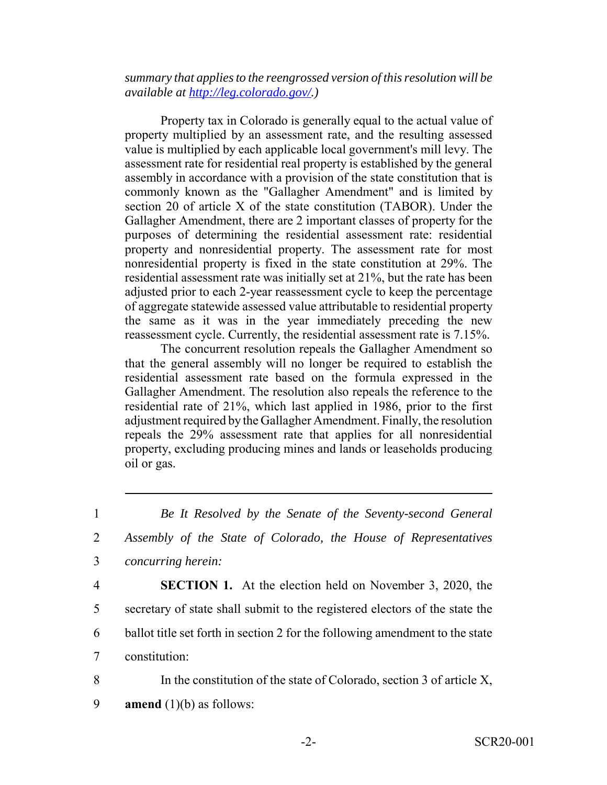*summary that applies to the reengrossed version of this resolution will be available at http://leg.colorado.gov/.)*

Property tax in Colorado is generally equal to the actual value of property multiplied by an assessment rate, and the resulting assessed value is multiplied by each applicable local government's mill levy. The assessment rate for residential real property is established by the general assembly in accordance with a provision of the state constitution that is commonly known as the "Gallagher Amendment" and is limited by section 20 of article X of the state constitution (TABOR). Under the Gallagher Amendment, there are 2 important classes of property for the purposes of determining the residential assessment rate: residential property and nonresidential property. The assessment rate for most nonresidential property is fixed in the state constitution at 29%. The residential assessment rate was initially set at 21%, but the rate has been adjusted prior to each 2-year reassessment cycle to keep the percentage of aggregate statewide assessed value attributable to residential property the same as it was in the year immediately preceding the new reassessment cycle. Currently, the residential assessment rate is 7.15%.

The concurrent resolution repeals the Gallagher Amendment so that the general assembly will no longer be required to establish the residential assessment rate based on the formula expressed in the Gallagher Amendment. The resolution also repeals the reference to the residential rate of 21%, which last applied in 1986, prior to the first adjustment required by the Gallagher Amendment. Finally, the resolution repeals the 29% assessment rate that applies for all nonresidential property, excluding producing mines and lands or leaseholds producing oil or gas.

- 4 **SECTION 1.** At the election held on November 3, 2020, the 5 secretary of state shall submit to the registered electors of the state the 6 ballot title set forth in section 2 for the following amendment to the state 7 constitution:
- 8 In the constitution of the state of Colorado, section 3 of article X, 9 **amend** (1)(b) as follows:

<sup>1</sup> *Be It Resolved by the Senate of the Seventy-second General* 2 *Assembly of the State of Colorado, the House of Representatives* 3 *concurring herein:*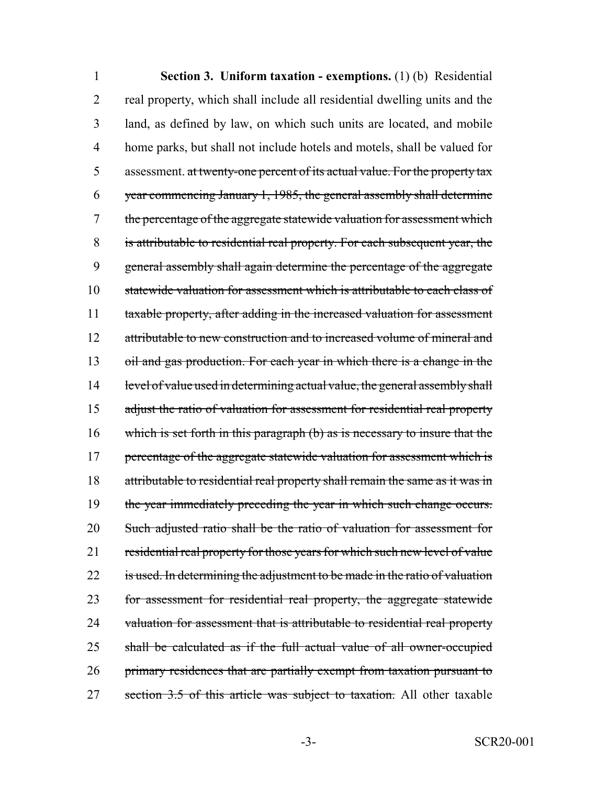1 **Section 3. Uniform taxation - exemptions.** (1) (b) Residential 2 real property, which shall include all residential dwelling units and the 3 land, as defined by law, on which such units are located, and mobile 4 home parks, but shall not include hotels and motels, shall be valued for 5 assessment. at twenty-one percent of its actual value. For the property tax 6 year commencing January 1, 1985, the general assembly shall determine 7 the percentage of the aggregate statewide valuation for assessment which 8 is attributable to residential real property. For each subsequent year, the 9 general assembly shall again determine the percentage of the aggregate 10 statewide valuation for assessment which is attributable to each class of 11 taxable property, after adding in the increased valuation for assessment 12 attributable to new construction and to increased volume of mineral and 13 oil and gas production. For each year in which there is a change in the 14 level of value used in determining actual value, the general assembly shall 15 adjust the ratio of valuation for assessment for residential real property 16 which is set forth in this paragraph (b) as is necessary to insure that the 17 percentage of the aggregate statewide valuation for assessment which is 18 attributable to residential real property shall remain the same as it was in 19 the year immediately preceding the year in which such change occurs. 20 Such adjusted ratio shall be the ratio of valuation for assessment for 21 residential real property for those years for which such new level of value 22 is used. In determining the adjustment to be made in the ratio of valuation 23 for assessment for residential real property, the aggregate statewide 24 valuation for assessment that is attributable to residential real property 25 shall be calculated as if the full actual value of all owner-occupied 26 primary residences that are partially exempt from taxation pursuant to 27 section 3.5 of this article was subject to taxation. All other taxable